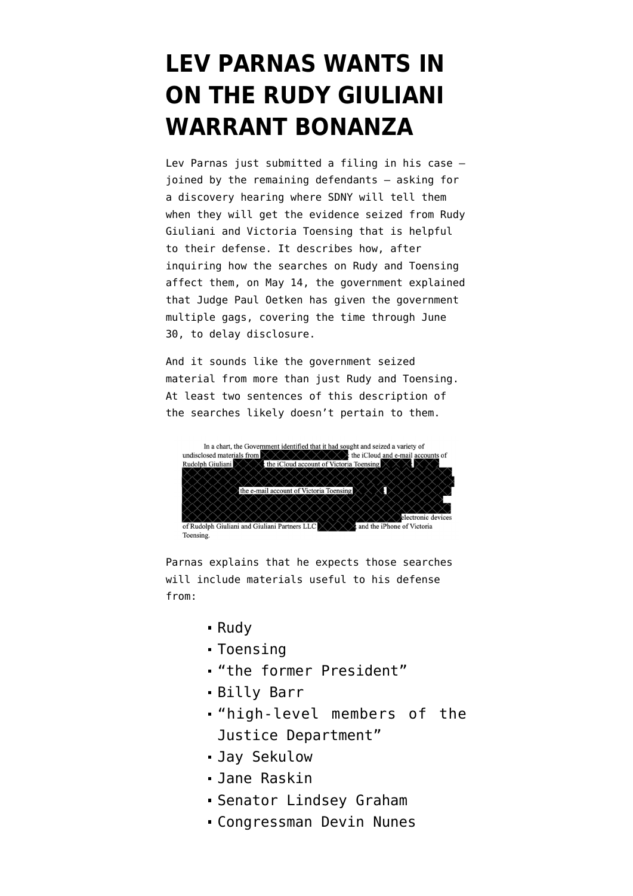## **[LEV PARNAS WANTS IN](https://www.emptywheel.net/2021/05/25/lev-parnas-wants-in-on-the-rudy-giuliani-warrant-bonanza/) [ON THE RUDY GIULIANI](https://www.emptywheel.net/2021/05/25/lev-parnas-wants-in-on-the-rudy-giuliani-warrant-bonanza/) [WARRANT BONANZA](https://www.emptywheel.net/2021/05/25/lev-parnas-wants-in-on-the-rudy-giuliani-warrant-bonanza/)**

Lev Parnas just [submitted a filing](https://www.documentcloud.org/documents/20788385-210525-parnas-discovery-hearing) in his case joined by the remaining defendants — asking for a discovery hearing where SDNY will tell them when they will get the evidence seized from Rudy Giuliani and Victoria Toensing that is helpful to their defense. It describes how, after inquiring how the searches on Rudy and Toensing affect them, on May 14, the government explained that Judge Paul Oetken has given the government multiple gags, covering the time through June 30, to delay disclosure.

And it sounds like the government seized material from more than just Rudy and Toensing. At least two sentences of this description of the searches likely doesn't pertain to them.



Toensing

Parnas explains that he expects those searches will include materials useful to his defense from:

- Rudy
- Toensing
- "the former President"
- Billy Barr
- "high-level members of the Justice Department"
- Jay Sekulow
- Jane Raskin
- Senator Lindsey Graham
- Congressman Devin Nunes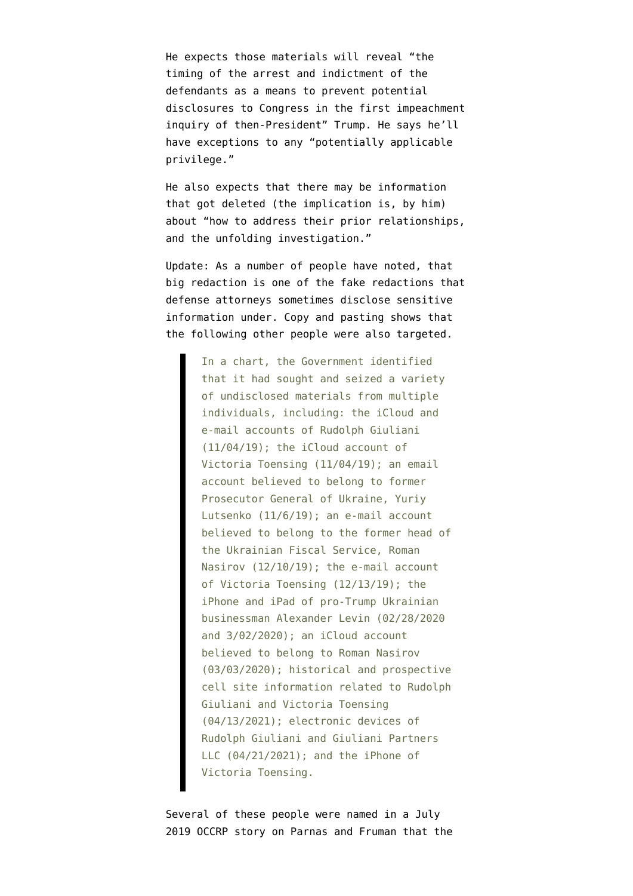He expects those materials will reveal "the timing of the arrest and indictment of the defendants as a means to prevent potential disclosures to Congress in the first impeachment inquiry of then-President" Trump. He says he'll have exceptions to any "potentially applicable privilege."

He also expects that there may be information that got deleted (the implication is, by him) about "how to address their prior relationships, and the unfolding investigation."

Update: As a number of people have noted, that big redaction is one of the fake redactions that defense attorneys sometimes disclose sensitive information under. Copy and pasting shows that the following other people were also targeted.

> In a chart, the Government identified that it had sought and seized a variety of undisclosed materials from multiple individuals, including: the iCloud and e-mail accounts of Rudolph Giuliani (11/04/19); the iCloud account of Victoria Toensing (11/04/19); an email account believed to belong to former Prosecutor General of Ukraine, Yuriy Lutsenko (11/6/19); an e-mail account believed to belong to the former head of the Ukrainian Fiscal Service, Roman Nasirov (12/10/19); the e-mail account of Victoria Toensing (12/13/19); the iPhone and iPad of pro-Trump Ukrainian businessman Alexander Levin (02/28/2020 and 3/02/2020); an iCloud account believed to belong to Roman Nasirov (03/03/2020); historical and prospective cell site information related to Rudolph Giuliani and Victoria Toensing (04/13/2021); electronic devices of Rudolph Giuliani and Giuliani Partners LLC (04/21/2021); and the iPhone of Victoria Toensing.

Several of these people were named in a [July](https://www.occrp.org/en/investigations/meet-the-florida-duo-helping-giuliani-dig-dirt-for-trump-in-ukraine) [2019 OCCRP story](https://www.occrp.org/en/investigations/meet-the-florida-duo-helping-giuliani-dig-dirt-for-trump-in-ukraine) on Parnas and Fruman that the